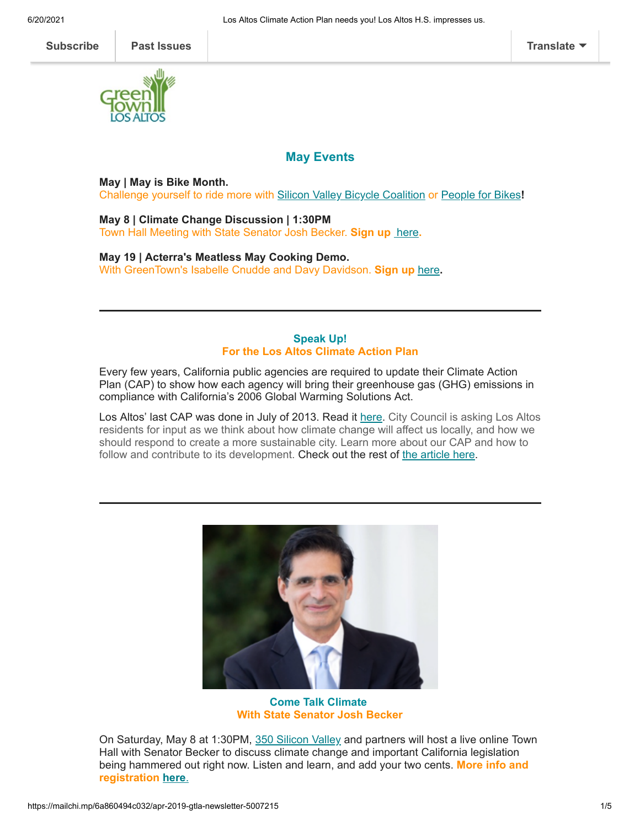

## **May Events**

**May | May is Bike Month.**

Challenge yourself to ride more with [Silicon Valley Bicycle Coalition](https://www.eventbrite.com/e/pledge-to-ride-for-bike-to-wherever-day-tickets-144388123765) or [People for Bikes](https://www.pfbkeepriding.org/challenges)**!**

**May 8 | Climate Change Discussion | 1:30PM** Town Hall Meeting with State Senator Josh Becker. **Sign up** [here](https://www.eventbrite.com/e/town-hall-with-state-senator-josh-becker-registration-152425180819)**.**

**May 19 | Acterra's Meatless May Cooking Demo.** With GreenTown's Isabelle Cnudde and Davy Davidson. **Sign up** [here](https://www.eventbrite.com/e/meatless-may-cooking-quiche-and-chocolate-mousse-tickets-152578298799?aff=homebanner)**.**

## **Speak Up! For the Los Altos Climate Action Plan**

Every few years, California public agencies are required to update their Climate Action Plan (CAP) to show how each agency will bring their greenhouse gas (GHG) emissions in compliance with California's 2006 Global Warming Solutions Act.

Los Altos' last CAP was done in July of 2013. Read it [here.](https://www.losaltosca.gov/sites/default/files/fileattachments/environmental_commission/page/36221/adopted_final_los_altos_cap.pdf) City Council is asking Los Altos residents for input as we think about how climate change will affect us locally, and how we should respond to create a more sustainable city. Learn more about our CAP and how to follow and contribute to its development. Check out the rest of [the article here](https://www.greentownlosaltos.org/post/speak-up-for-the-los-altos-climate-action-and-adaptation-plan).



**Come Talk Climate With State Senator Josh Becker**

On Saturday, May 8 at 1:30PM, [350 Silicon Valley](https://www.350siliconvalley.org/) and partners will host a live online Town Hall with Senator Becker to discuss climate change and important California legislation being hammered out right now. Listen and learn, and add your two cents. **More info and registration [here](https://www.eventbrite.com/e/town-hall-with-state-senator-josh-becker-registration-152425180819?ref=estw&link_id=0&can_id=6c9b71afdb6ca952cb51c00ee6393566&source=email-action-we-urgently-need-ev-access-for-all-2&email_referrer=email_1158003___subject_1540701&email_subject=were-hosting-a-town-hall-with-senator-josh-becker)**.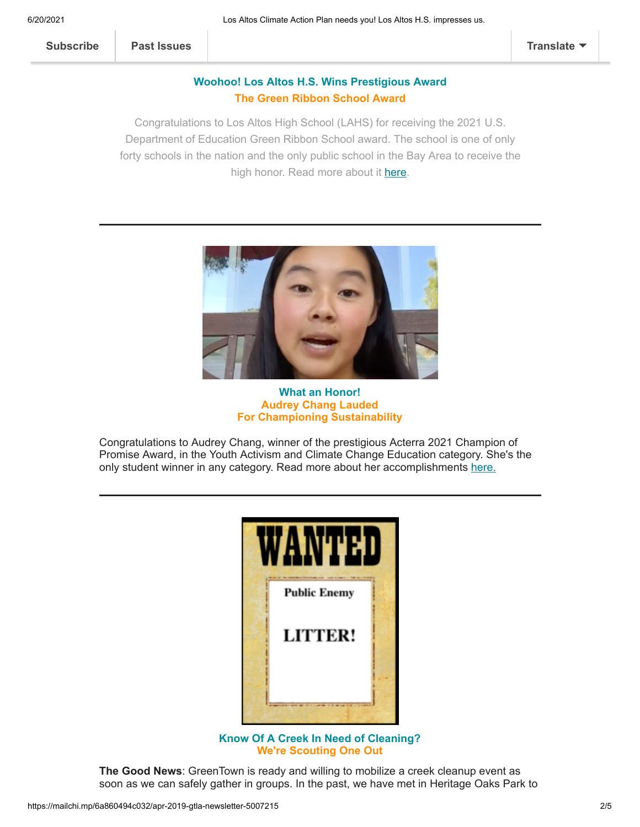## **Woohoo! Los Altos H.S. Wins Prestigious Award The Green Ribbon School Award**

Congratulations to Los Altos High School (LAHS) for receiving the 2021 U.S. Department of Education Green Ribbon School award. The school is one of only forty schools in the nation and the only public school in the Bay Area to receive the high honor. Read more about it [here](https://www.greentownlosaltos.org/post/los-altos-h-s-honored-with-award).



**What an Honor! Audrey Chang Lauded For Championing Sustainability**

Congratulations to Audrey Chang, winner of the prestigious Acterra 2021 Champion of Promise Award, in the Youth Activism and Climate Change Education category. She's the only student winner in any category. Read more about her accomplishments [here.](https://www.greentownlosaltos.org/post/award-winner-audrey-chang-s-sustainability-impact)



**Know Of A Creek In Need of Cleaning? We're Scouting One Out**

**The Good News**: GreenTown is ready and willing to mobilize a creek cleanup event as soon as we can safely gather in groups. In the past, we have met in Heritage Oaks Park to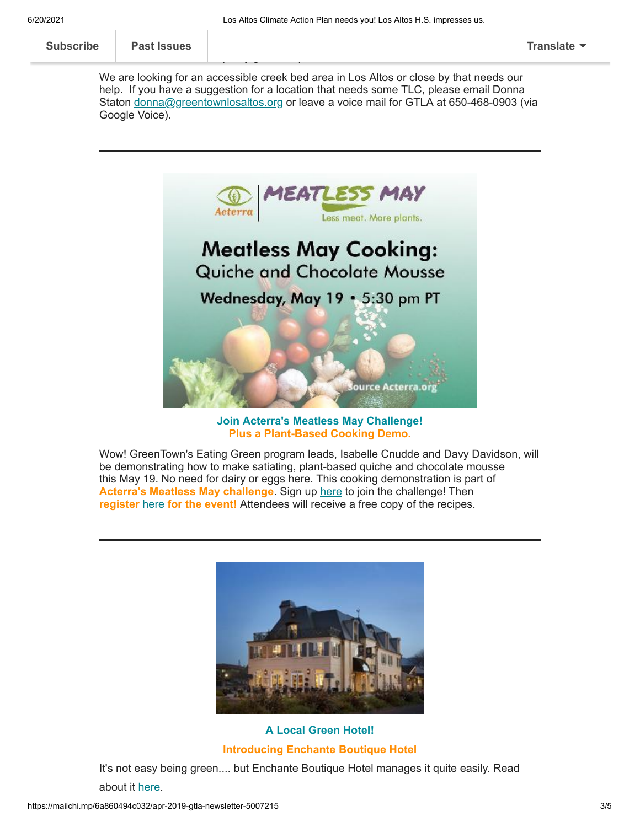| <b>Subscribe</b> | <b>Past Issues</b> |     | <b>Translate</b> |
|------------------|--------------------|-----|------------------|
|                  |                    |     |                  |
|                  |                    | - - |                  |

We are looking for an accessible creek bed area in Los Altos or close by that needs our help. If you have a suggestion for a location that needs some TLC, please email Donna Staton [donna@greentownlosaltos.org](mailto:donna@greentownlosaltos.org) or leave a voice mail for GTLA at 650-468-0903 (via Google Voice).



**Join Acterra's Meatless May Challenge! Plus a Plant-Based Cooking Demo.**

Wow! GreenTown's Eating Green program leads, Isabelle Cnudde and Davy Davidson, will be demonstrating how to make satiating, plant-based quiche and chocolate mousse this May 19. No need for dairy or eggs here. This cooking demonstration is part of **Acterra's Meatless May challenge**. Sign up [here](https://docs.google.com/forms/d/e/1FAIpQLScxEfyovS-ecZNPYOSCikfdsf_5aQWoc4xqHGrABjM6D8m8Iw/viewform) to join the challenge! Then **register** [here](https://www.eventbrite.com/e/meatless-may-cooking-quiche-and-chocolate-mousse-tickets-152578298799?aff=homebanner) **for the event!** Attendees will receive a free copy of the recipes.



**A Local Green Hotel! Introducing Enchante Boutique Hotel**

It's not easy being green.... but Enchante Boutique Hotel manages it quite easily. Read

about it [here](https://www.greentownlosaltos.org/post/local-green-business-focus-enchante-hotel).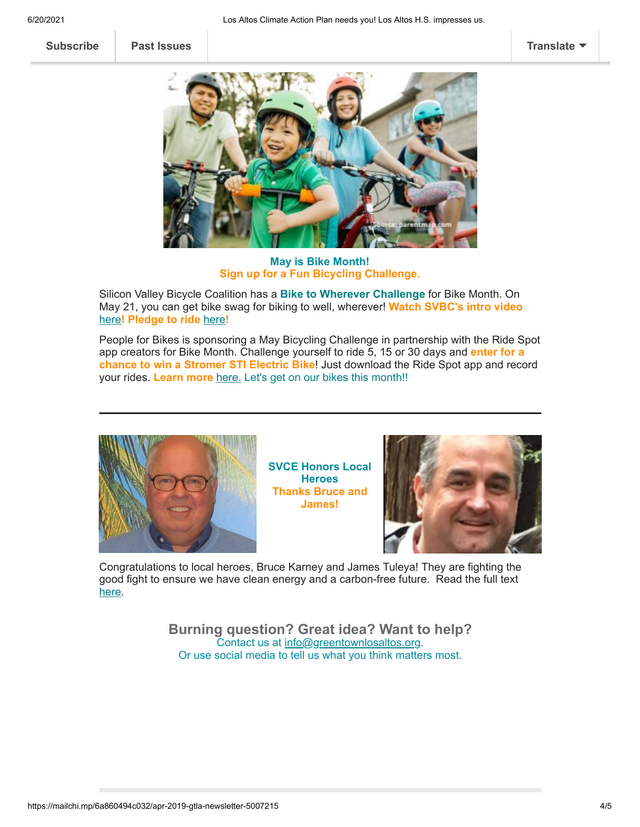**[Subscribe](http://eepurl.com/cm9q9b) [Past Issues](https://us5.campaign-archive.com/home/?u=ed40313cb8798acef49a6faa8&id=bcf3e43825) [Translate](javascript:;)**



**May is Bike Month! Sign up for a Fun Bicycling Challenge.**

Silicon Valley Bicycle Coalition has a **Bike to Wherever Challenge** for Bike Month. On May 21, you can get bike swag for biking to well, wherever! **Watch SVBC's intro video** [here](https://www.youtube.com/watch?v=aNwwMT3AHyk)**! Pledge to ride** [here](https://www.eventbrite.com/e/pledge-to-ride-for-bike-to-wherever-day-tickets-144388123765)**!**

People for Bikes is sponsoring a May Bicycling Challenge in partnership with the Ride Spot app creators for Bike Month. Challenge yourself to ride 5, 15 or 30 days and **enter for a chance to win a Stromer STI Electric Bike**! Just download the Ride Spot app and record your rides. **Learn more** [here.](https://www.pfbkeepriding.org/challenges) Let's get on our bikes this month!!



**SVCE Honors Local Heroes Thanks Bruce and James!**



Congratulations to local heroes, Bruce Karney and James Tuleya! They are fighting the good fight to ensure we have clean energy and a carbon-free future. Read the full text [here](https://www.greentownlosaltos.org/post/svce-commends-bruce-karney-and-james-tuleya).

> **Burning question? Great idea? Want to help?** Contact us at [info@greentownlosaltos.org](mailto:info@greentownlosaltos.org?subject=Ask%20GreenTown%3B%20Tell%20GreenTown). Or use social media to tell us what you think matters most.